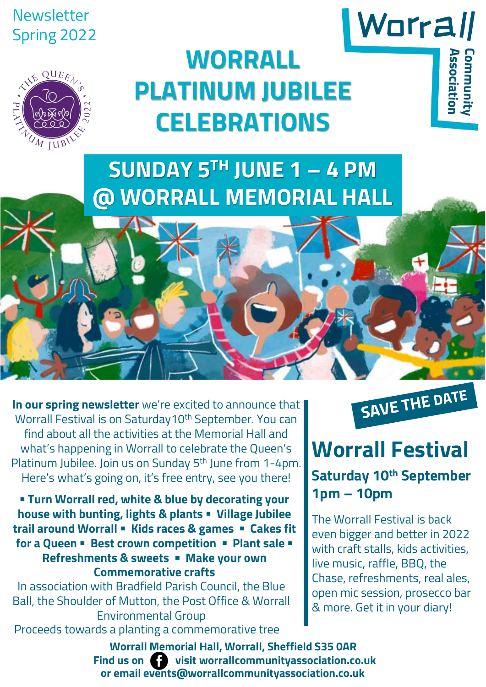# Newsletter Spring 2022

 $QUE_{\mathcal{E}_{\Lambda}}$ 

M ILIBI

# **WORRALL PLATINUM JUBILEE CELEBRATIONS**

**SUNDAY 5TH JUNE 1 – 4 PM @ WORRALL MEMORIAL HALL**

**In our spring newsletter** we're excited to announce that Worrall Festival is on Saturday10<sup>th</sup> September. You can find about all the activities at the Memorial Hall and what's happening in Worrall to celebrate the Queen's Platinum Jubilee. Join us on Sunday 5<sup>th</sup> June from 1-4pm. Here's what's going on, it's free entry, see you there!

▪ **Turn Worrall red, white & blue by decorating your house with bunting, lights & plants** ▪ **Village Jubilee trail around Worrall** ▪ **Kids races & games** ▪ **Cakes fit for a Queen** ▪ **Best crown competition** ▪ **Plant sale** ▪ **Refreshments & sweets** ▪ **Make your own Commemorative crafts** 

In association with Bradfield Parish Council, the Blue Ball, the Shoulder of Mutton, the Post Office & Worrall Environmental Group Proceeds towards a planting a commemorative tree

SAVE THE DATE

Worrall

**SSociatio** 

# **Worrall Festival**

# **Saturday 10th September 1pm – 10pm**

The Worrall Festival is back even bigger and better in 2022 with craft stalls, kids activities, live music, raffle, BBQ, the Chase, refreshments, real ales, open mic session, prosecco bar & more. Get it in your diary!

**Find us on visit worrallcommunityassociation.co.uk Worrall Memorial Hall, Worrall, Sheffield S35 0AR or email events@worrallcommunityassociation.co.uk**